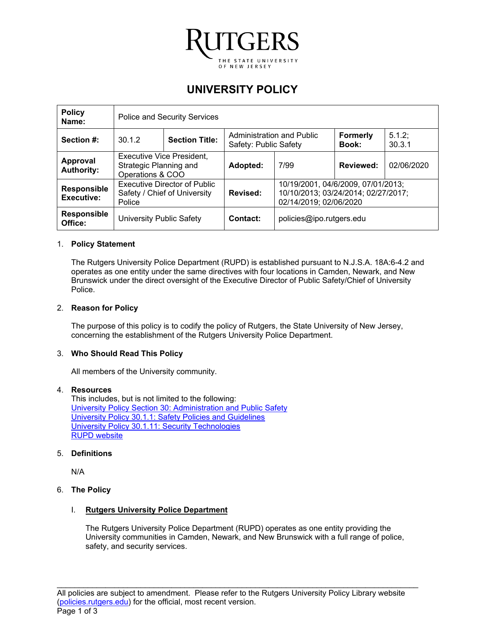

# **UNIVERSITY POLICY**

| <b>Policy</b><br>Name:                  | <b>Police and Security Services</b>                                            |  |                                                    |                                                                                                     |                          |                 |
|-----------------------------------------|--------------------------------------------------------------------------------|--|----------------------------------------------------|-----------------------------------------------------------------------------------------------------|--------------------------|-----------------|
| Section #:                              | <b>Section Title:</b><br>30.1.2                                                |  | Administration and Public<br>Safety: Public Safety |                                                                                                     | <b>Formerly</b><br>Book: | 5.1.2<br>30.3.1 |
| Approval<br><b>Authority:</b>           | <b>Executive Vice President,</b><br>Strategic Planning and<br>Operations & COO |  | Adopted:                                           | 7/99                                                                                                | <b>Reviewed:</b>         | 02/06/2020      |
| <b>Responsible</b><br><b>Executive:</b> | <b>Executive Director of Public</b><br>Safety / Chief of University<br>Police  |  | Revised:                                           | 10/19/2001, 04/6/2009, 07/01/2013;<br>10/10/2013; 03/24/2014; 02/27/2017;<br>02/14/2019; 02/06/2020 |                          |                 |
| Responsible<br>Office:                  | University Public Safety                                                       |  | Contact:                                           | policies@ipo.rutgers.edu                                                                            |                          |                 |

## 1. **Policy Statement**

The Rutgers University Police Department (RUPD) is established pursuant to N.J.S.A. 18A:6-4.2 and operates as one entity under the same directives with four locations in Camden, Newark, and New Brunswick under the direct oversight of the Executive Director of Public Safety/Chief of University Police.

## 2. **Reason for Policy**

The purpose of this policy is to codify the policy of Rutgers, the State University of New Jersey, concerning the establishment of the Rutgers University Police Department.

#### 3. **Who Should Read This Policy**

All members of the University community.

## 4. **Resources**

This includes, but is not limited to the following: University Policy Section 30: Administration and Public Safety University Policy 30.1.1: Safety Policies and Guidelines University Policy 30.1.11: Security Technologies RUPD website

#### 5. **Definitions**

N/A

# 6. **The Policy**

#### I. **Rutgers University Police Department**

The Rutgers University Police Department (RUPD) operates as one entity providing the University communities in Camden, Newark, and New Brunswick with a full range of police, safety, and security services.

\_\_\_\_\_\_\_\_\_\_\_\_\_\_\_\_\_\_\_\_\_\_\_\_\_\_\_\_\_\_\_\_\_\_\_\_\_\_\_\_\_\_\_\_\_\_\_\_\_\_\_\_\_\_\_\_\_\_\_\_\_\_\_\_\_\_\_\_\_\_\_\_\_\_\_\_\_\_\_\_\_\_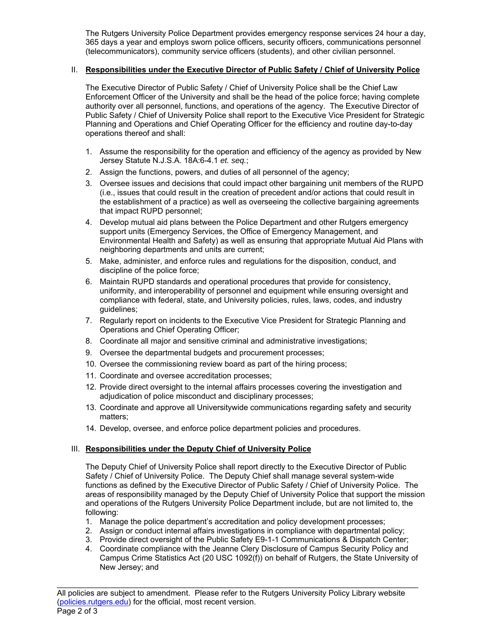The Rutgers University Police Department provides emergency response services 24 hour a day, 365 days a year and employs sworn police officers, security officers, communications personnel (telecommunicators), community service officers (students), and other civilian personnel.

# II. **Responsibilities under the Executive Director of Public Safety / Chief of University Police**

The Executive Director of Public Safety / Chief of University Police shall be the Chief Law Enforcement Officer of the University and shall be the head of the police force; having complete authority over all personnel, functions, and operations of the agency. The Executive Director of Public Safety / Chief of University Police shall report to the Executive Vice President for Strategic Planning and Operations and Chief Operating Officer for the efficiency and routine day-to-day operations thereof and shall:

- 1. Assume the responsibility for the operation and efficiency of the agency as provided by New Jersey Statute N.J.S.A. 18A:6-4.1 *et. seq.*;
- 2. Assign the functions, powers, and duties of all personnel of the agency;
- 3. Oversee issues and decisions that could impact other bargaining unit members of the RUPD (i.e., issues that could result in the creation of precedent and/or actions that could result in the establishment of a practice) as well as overseeing the collective bargaining agreements that impact RUPD personnel;
- 4. Develop mutual aid plans between the Police Department and other Rutgers emergency support units (Emergency Services, the Office of Emergency Management, and Environmental Health and Safety) as well as ensuring that appropriate Mutual Aid Plans with neighboring departments and units are current;
- 5. Make, administer, and enforce rules and regulations for the disposition, conduct, and discipline of the police force;
- 6. Maintain RUPD standards and operational procedures that provide for consistency, uniformity, and interoperability of personnel and equipment while ensuring oversight and compliance with federal, state, and University policies, rules, laws, codes, and industry guidelines;
- 7. Regularly report on incidents to the Executive Vice President for Strategic Planning and Operations and Chief Operating Officer;
- 8. Coordinate all major and sensitive criminal and administrative investigations;
- 9. Oversee the departmental budgets and procurement processes;
- 10. Oversee the commissioning review board as part of the hiring process;
- 11. Coordinate and oversee accreditation processes;
- 12. Provide direct oversight to the internal affairs processes covering the investigation and adjudication of police misconduct and disciplinary processes;
- 13. Coordinate and approve all Universitywide communications regarding safety and security matters;
- 14. Develop, oversee, and enforce police department policies and procedures.

## III. **Responsibilities under the Deputy Chief of University Police**

The Deputy Chief of University Police shall report directly to the Executive Director of Public Safety / Chief of University Police. The Deputy Chief shall manage several system-wide functions as defined by the Executive Director of Public Safety / Chief of University Police. The areas of responsibility managed by the Deputy Chief of University Police that support the mission and operations of the Rutgers University Police Department include, but are not limited to, the following:

- 1. Manage the police department's accreditation and policy development processes;
- 2. Assign or conduct internal affairs investigations in compliance with departmental policy;
- 3. Provide direct oversight of the Public Safety E9-1-1 Communications & Dispatch Center;
- 4. Coordinate compliance with the Jeanne Clery Disclosure of Campus Security Policy and Campus Crime Statistics Act (20 USC 1092(f)) on behalf of Rutgers, the State University of New Jersey; and

\_\_\_\_\_\_\_\_\_\_\_\_\_\_\_\_\_\_\_\_\_\_\_\_\_\_\_\_\_\_\_\_\_\_\_\_\_\_\_\_\_\_\_\_\_\_\_\_\_\_\_\_\_\_\_\_\_\_\_\_\_\_\_\_\_\_\_\_\_\_\_\_\_\_\_\_\_\_\_\_\_\_